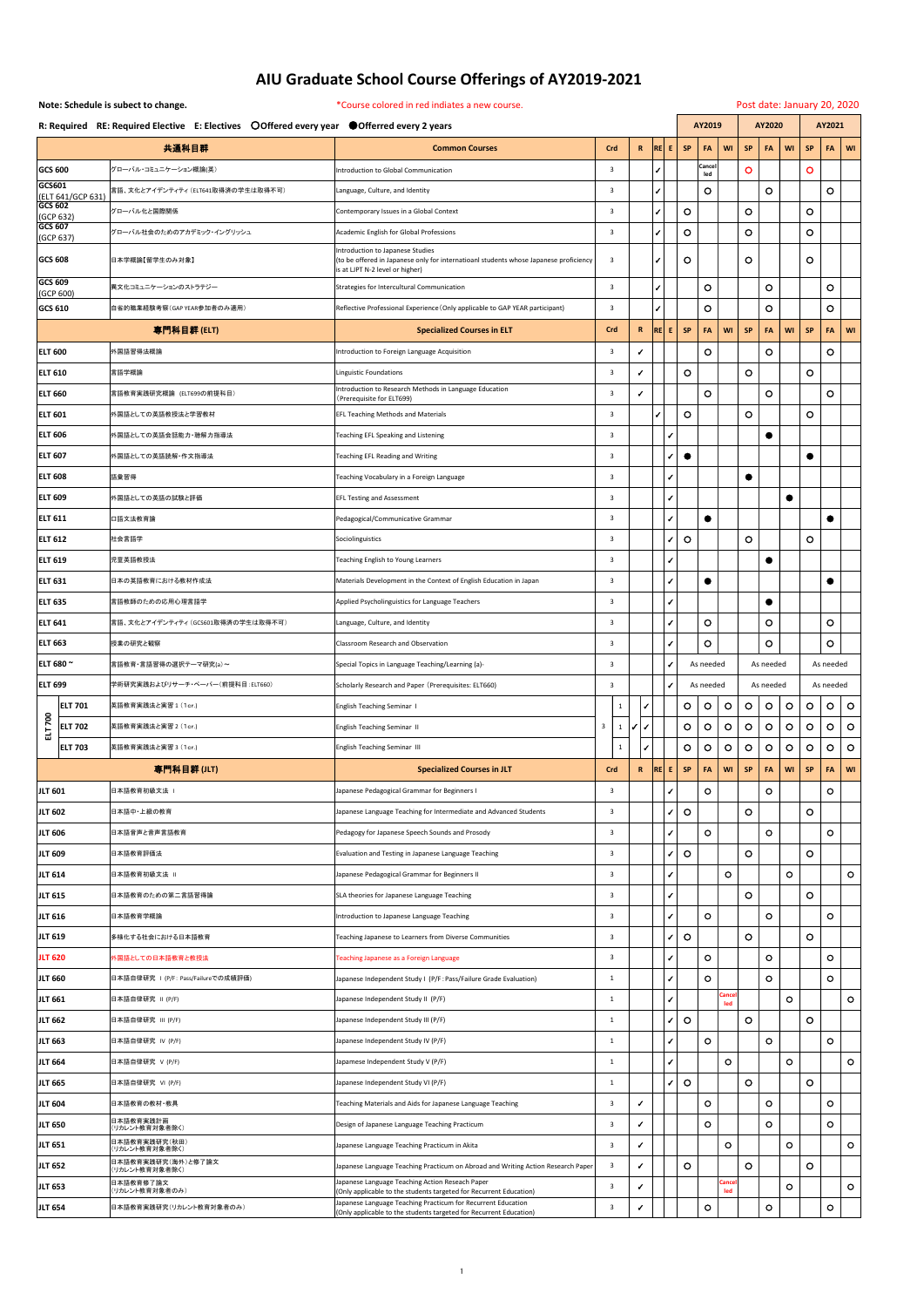| *Course colored in red indiates a new course.<br>Note: Schedule is subect to change. |                   |                                                                                            |                                                                                                                                                                  |                |                       |                | Post date: January 20, 2020      |                         |                |                |                |                                  |
|--------------------------------------------------------------------------------------|-------------------|--------------------------------------------------------------------------------------------|------------------------------------------------------------------------------------------------------------------------------------------------------------------|----------------|-----------------------|----------------|----------------------------------|-------------------------|----------------|----------------|----------------|----------------------------------|
|                                                                                      |                   | R: Required RE: Required Elective E: Electives OOffered every year OOfferred every 2 years |                                                                                                                                                                  |                |                       |                | <b>AY2019</b>                    |                         | <b>AY2020</b>  |                |                | <b>AY2021</b>                    |
|                                                                                      |                   | 共通科目群                                                                                      | <b>Common Courses</b>                                                                                                                                            | Crd            | RE E <br>$\mathsf{R}$ | <b>SP</b>      | <b>FA</b><br><b>WI</b>           | <b>SP</b>               | <b>FA</b>      | <b>WI</b>      | <b>SP</b>      | <b>FA</b><br>$\blacksquare$      |
| <b>GCS 600</b>                                                                       |                   | グローバル・コミュニケーション概論(英)                                                                       | <b>Introduction to Global Communication</b>                                                                                                                      |                |                       |                | <b>Cancel</b><br>led             | $\overline{O}$          |                |                | $\overline{O}$ |                                  |
| <b>GCS601</b>                                                                        | (ELT 641/GCP 631) | 言語、文化とアイデンティティ (ELT641取得済の学生は取得不可)                                                         | Language, Culture, and Identity                                                                                                                                  | $\overline{3}$ |                       |                | $\bigcirc$                       |                         | $\bigcirc$     |                |                | $\bigcirc$                       |
| <b>GCS 602</b><br>(GCP 632)                                                          |                   | グローバル化と国際関係                                                                                | Contemporary Issues in a Global Context                                                                                                                          | $\overline{3}$ |                       | $\bigcirc$     |                                  | O                       |                |                | $\bigcirc$     |                                  |
| <b>GCS 607</b>                                                                       |                   | グローバル社会のためのアカデミック・イングリッシュ                                                                  | <b>Academic English for Global Professions</b>                                                                                                                   |                |                       | $\bigcirc$     |                                  | $\overline{O}$          |                |                | $\bigcirc$     |                                  |
| (GCP 637)<br><b>GCS 608</b>                                                          |                   | 日本学概論【留学生のみ対象】                                                                             | Introduction to Japanese Studies<br>(to be offered in Japanese only for internatioanl students whose Japanese proficiency $ $<br>is at LJPT N-2 level or higher) | $\overline{3}$ |                       | $\bigcirc$     |                                  | $\overline{O}$          |                |                | $\bigcirc$     |                                  |
| <b>GCS 609</b><br>(GCP 600)                                                          |                   | 異文化コミュニケーションのストラテジー                                                                        | Strategies for Intercultural Communication                                                                                                                       |                |                       |                | $\bigcirc$                       |                         | $\bigcirc$     |                |                | $\bigcirc$                       |
| <b>GCS 610</b>                                                                       |                   | 自省的職業経験考察(GAP YEAR参加者のみ適用)                                                                 | Reflective Professional Experience (Only applicable to GAP YEAR participant)                                                                                     |                |                       |                | $\bigcirc$                       |                         | $\bigcirc$     |                |                | $\bigcirc$                       |
|                                                                                      |                   | 専門科目群 (ELT)                                                                                | <b>Specialized Courses in ELT</b>                                                                                                                                | Crd            | RE E                  | <b>SP</b>      | <b>FA</b><br><b>WI</b>           | <b>SP</b>               | <b>FA</b>      | <b>WI</b>      | <b>SP</b>      | <b>WI</b><br><b>FA</b>           |
| <b>ELT 600</b>                                                                       |                   | <b> 外国語習得法概論</b>                                                                           | Introduction to Foreign Language Acquisition                                                                                                                     |                |                       |                | $\bigcirc$                       |                         | $\bigcirc$     |                |                | $\bigcirc$                       |
| <b>ELT 610</b>                                                                       |                   | 言語学概論                                                                                      | Linguistic Foundations                                                                                                                                           |                |                       | $\overline{O}$ |                                  | $\overline{O}$          |                |                | $\bigcirc$     |                                  |
| <b>ELT 660</b>                                                                       |                   | 言語教育実践研究概論 (ELT699の前提科目)                                                                   | Introduction to Research Methods in Language Education                                                                                                           | $\overline{3}$ |                       |                | $\bigcirc$                       |                         | $\bigcirc$     |                |                | $\bigcirc$                       |
| <b>ELT 601</b>                                                                       |                   | 外国語としての英語教授法と学習教材                                                                          | (Prerequisite for ELT699)<br><b>EFL Teaching Methods and Materials</b>                                                                                           |                |                       | $\bigcirc$     |                                  |                         |                |                | $\bigcirc$     |                                  |
|                                                                                      |                   |                                                                                            |                                                                                                                                                                  |                |                       |                |                                  |                         |                |                |                |                                  |
| <b>ELT 606</b>                                                                       |                   | 外国語としての英語会話能力・聴解力指導法                                                                       | Teaching EFL Speaking and Listening                                                                                                                              |                |                       |                |                                  |                         |                |                |                |                                  |
| <b>ELT 607</b>                                                                       |                   | 外国語としての英語読解・作文指導法                                                                          | Teaching EFL Reading and Writing                                                                                                                                 |                | $\checkmark$          |                |                                  |                         |                |                |                |                                  |
| <b>ELT 608</b>                                                                       |                   | 語彙習得                                                                                       | Teaching Vocabulary in a Foreign Language                                                                                                                        |                |                       |                |                                  |                         |                |                |                |                                  |
| <b>ELT 609</b>                                                                       |                   | 外国語としての英語の試験と評価                                                                            | <b>EFL Testing and Assessment</b>                                                                                                                                |                |                       |                |                                  |                         |                |                |                |                                  |
| <b>ELT 611</b>                                                                       |                   | 口語文法教育論                                                                                    | Pedagogical/Communicative Grammar                                                                                                                                | - 3            |                       |                |                                  |                         |                |                |                |                                  |
| <b>ELT 612</b>                                                                       |                   | 社会言語学                                                                                      | Sociolinguistics                                                                                                                                                 | $\overline{3}$ | $\checkmark$          | $\overline{O}$ |                                  | $\mathbf O$             |                |                | $\bigcirc$     |                                  |
| <b>ELT 619</b>                                                                       |                   | 児童英語教授法                                                                                    | Teaching English to Young Learners                                                                                                                               | $\overline{3}$ |                       |                |                                  |                         |                |                |                |                                  |
| <b>ELT 631</b>                                                                       |                   | 日本の英語教育における教材作成法                                                                           | Materials Development in the Context of English Education in Japan                                                                                               | $\overline{3}$ | $\sqrt{2}$            |                |                                  |                         |                |                |                |                                  |
| <b>ELT 635</b>                                                                       |                   | 言語教師のための応用心理言語学                                                                            | Applied Psycholinguistics for Language Teachers                                                                                                                  | $\overline{3}$ |                       |                |                                  |                         |                |                |                |                                  |
| <b>ELT 641</b>                                                                       |                   | 言語、文化とアイデンティティ (GCS601取得済の学生は取得不可)                                                         | Language, Culture, and Identity                                                                                                                                  |                | $\sqrt{2}$            |                | $\bigcirc$                       |                         | $\bigcirc$     |                |                | $\bigcirc$                       |
| <b>ELT 663</b>                                                                       |                   | 授業の研究と観察                                                                                   | <b>Classroom Research and Observation</b>                                                                                                                        | $\overline{3}$ | $\checkmark$          |                | $\bigcirc$                       |                         | $\bigcirc$     |                |                | $\bigcirc$                       |
| <b>ELT 680 ~</b>                                                                     |                   | 言語教育·言語習得の選択テーマ研究(a)~                                                                      | Special Topics in Language Teaching/Learning (a)-                                                                                                                |                |                       |                | As needed                        |                         | As needed      |                |                | As needed                        |
| <b>ELT 699</b>                                                                       |                   | 学術研究実践およびリサーチ・ペーパー(前提科目:ELT660)                                                            | Scholarly Research and Paper (Prerequisites: ELT660)                                                                                                             |                |                       |                | As needed                        |                         | As needed      |                |                | As needed                        |
|                                                                                      | <b>ELT 701</b>    | 英語教育実践法と実習 1 (1cr.)                                                                        | <b>English Teaching Seminar 1</b>                                                                                                                                |                |                       | $\overline{O}$ | $\overline{O}$<br>$\overline{O}$ | $\bigcirc$              | $\overline{O}$ | $\overline{O}$ | $\bigcirc$     | $\overline{O}$<br>$\overline{O}$ |
| 700<br>$\blacksquare$<br>$\mathbf{L}$                                                | T 702             | 英語教育実践法と実習 2 (1cr.)                                                                        | <b>English Teaching Seminar II</b>                                                                                                                               | $\overline{3}$ |                       | $\overline{O}$ | $\overline{O}$<br>$\overline{O}$ | $\bigcirc$              | $\bigcirc$     | $\bigcirc$     | $\overline{O}$ | $\overline{O}$<br>$\overline{O}$ |
|                                                                                      | <b>ELT 703</b>    | 英語教育実践法と実習 3 (1cr.)                                                                        | <b>English Teaching Seminar III</b>                                                                                                                              |                |                       | $\overline{O}$ | $\overline{O}$<br>$\overline{O}$ | $\overline{O}$          | $\bigcirc$     | $\overline{O}$ | $\overline{O}$ | $\overline{O}$<br>$\overline{O}$ |
|                                                                                      |                   | 専門科目群 (JLT)                                                                                | <b>Specialized Courses in JLT</b>                                                                                                                                | Crd            | RE E                  | <b>SP</b>      | <b>FA</b><br><b>WI</b>           | <b>SP</b>               | <b>FA</b>      | <b>WI</b>      | <b>SP</b>      | <b>FA</b><br><b>WI</b>           |
| <b>JLT 601</b>                                                                       |                   | 日本語教育初級文法                                                                                  | Japanese Pedagogical Grammar for Beginners I                                                                                                                     |                | $\sqrt{2}$            |                | $\overline{O}$                   |                         | $\overline{O}$ |                |                | $\overline{O}$                   |
| <b>JLT 602</b>                                                                       |                   | 日本語中・上級の教育                                                                                 | Japanese Language Teaching for Intermediate and Advanced Students                                                                                                | ා ර            | $\checkmark$          | $\bigcirc$     |                                  | $\overline{\mathsf{O}}$ |                |                | $\bigcirc$     |                                  |
| <b>JLT 606</b>                                                                       |                   | 日本語音声と音声言語教育                                                                               | Pedagogy for Japanese Speech Sounds and Prosody                                                                                                                  |                |                       |                | $\bigcirc$                       |                         | $\overline{O}$ |                |                | $\bigcup$                        |
| <b>JLT 609</b>                                                                       |                   | 日本語教育評価法                                                                                   | Evaluation and Testing in Japanese Language Teaching                                                                                                             | - 3            | $\checkmark$          | $\overline{O}$ |                                  | $\mathsf{O}$            |                |                | $\bigcirc$     |                                  |
| <b>JLT 614</b>                                                                       |                   | 日本語教育初級文法 Ⅱ                                                                                | Japanese Pedagogical Grammar for Beginners II                                                                                                                    | $\overline{3}$ |                       |                | $\bigcirc$                       |                         |                | $\bigcirc$     |                | $\bigcirc$                       |
| <b>JLT 615</b>                                                                       |                   | 日本語教育のための第二言語習得論                                                                           | SLA theories for Japanese Language Teaching                                                                                                                      |                |                       |                |                                  | $\bigcirc$              |                |                | $\bigcirc$     |                                  |
| <b>JLT 616</b>                                                                       |                   | 日本語教育学概論                                                                                   | Introduction to Japanese Language Teaching                                                                                                                       | - 3            | $\boldsymbol{J}$      |                | $\overline{O}$                   |                         | $\bigcirc$     |                |                | $\overline{O}$                   |
| <b>JLT 619</b>                                                                       |                   | 多様化する社会における日本語教育                                                                           | Teaching Japanese to Learners from Diverse Communities                                                                                                           | $\overline{3}$ | $\checkmark$          | $\bigcirc$     |                                  | $\mathbf O$             |                |                | $\bigcirc$     |                                  |
| <b>JLT 620</b>                                                                       |                   | 外国語としての日本語教育と教授法                                                                           | Teaching Japanese as a Foreign Language                                                                                                                          | $\overline{3}$ |                       |                | $\overline{O}$                   |                         | $\bigcirc$     |                |                | $\bigcirc$                       |
| <b>JLT 660</b>                                                                       |                   | 日本語自律研究 I (P/F: Pass/Failureでの成績評価)                                                        | Japanese Independent Study I (P/F: Pass/Failure Grade Evaluation)                                                                                                |                |                       |                | $\overline{O}$                   |                         | $\overline{O}$ |                |                | $\overline{O}$                   |
| <b>JLT 661</b>                                                                       |                   | 日本語自律研究 Ⅱ (P/F)                                                                            | Japanese Independent Study II (P/F)                                                                                                                              |                |                       |                | <b>Cancel</b><br>led             |                         |                | $\bigcirc$     |                | $\bigcirc$                       |
| <b>JLT 662</b>                                                                       |                   | 日本語自律研究 Ⅲ (P/F)                                                                            | Japanese Independent Study III (P/F)                                                                                                                             |                | $\sqrt{2}$            | $\bigcirc$     |                                  | $\overline{O}$          |                |                | $\bigcirc$     |                                  |
| <b>JLT 663</b>                                                                       |                   | 日本語自律研究 Ⅳ (P/F)                                                                            | Japanese Independent Study IV (P/F)                                                                                                                              |                |                       |                | $\overline{O}$                   |                         | $\overline{O}$ |                |                | $\bigcirc$                       |
| <b>JLT 664</b>                                                                       |                   | 日本語自律研究 V (P/F)                                                                            | Japamese Independent Study V (P/F)                                                                                                                               |                |                       |                | $\bigcirc$                       |                         |                | $\bigcirc$     |                | $\overline{O}$                   |
| <b>JLT 665</b>                                                                       |                   | 日本語自律研究 VI (P/F)                                                                           | Japanese Independent Study VI (P/F)                                                                                                                              |                | $\checkmark$          | $\overline{O}$ |                                  | O                       |                |                | $\bigcirc$     |                                  |
| <b>JLT 604</b>                                                                       |                   | 日本語教育の教材・教具                                                                                | Teaching Materials and Aids for Japanese Language Teaching                                                                                                       |                |                       |                | $\overline{O}$                   |                         | $\bigcirc$     |                |                | $\bigcirc$                       |
| <b>JLT 650</b>                                                                       |                   | 日本語教育実践計画                                                                                  | Design of Japanese Language Teaching Practicum                                                                                                                   | $\overline{3}$ |                       |                | $\overline{O}$                   |                         | $\bigcirc$     |                |                | $\bigcirc$                       |
| <b>JLT 651</b>                                                                       |                   | (リカレント教育対象者除く)<br> 日本語教育実践研究(秋田)                                                           | Japanese Language Teaching Practicum in Akita                                                                                                                    | $\overline{3}$ |                       |                | $\overline{O}$                   |                         |                | $\bigcirc$     |                | $\overline{O}$                   |
|                                                                                      |                   | (リカレント教育対象者除く)<br> 日本語教育実践研究(海外)と修了論文                                                      |                                                                                                                                                                  | $\overline{3}$ |                       | $\bigcirc$     |                                  | $\bigcirc$              |                |                | $\bigcirc$     |                                  |
| <b>JLT 652</b>                                                                       |                   | (リカレント教育対象者除く)<br> 日本語教育修了論文                                                               | Japanese Language Teaching Practicum on Abroad and Writing Action Research Paper  <br>Japanese Language Teaching Action Reseach Paper                            |                |                       |                | <b>Cance</b>                     |                         |                |                |                |                                  |
| <b>JLT 653</b>                                                                       |                   | (リカレント教育対象者のみ)                                                                             | (Only applicable to the students targeted for Recurrent Education)<br>Japanese Language Teaching Practicum for Recurrent Education                               | - 5            |                       |                | led                              |                         |                | $\bigcirc$     |                | $\bigcirc$                       |
| <b>JLT 654</b>                                                                       |                   | 日本語教育実践研究(リカレント教育対象者のみ)                                                                    | (Only applicable to the students targeted for Recurrent Education)                                                                                               |                |                       |                | $\bigcirc$                       |                         | $\bigcirc$     |                |                | $\bigcirc$                       |

## **AIU Graduate School Course Offerings of AY2019-2021**

1